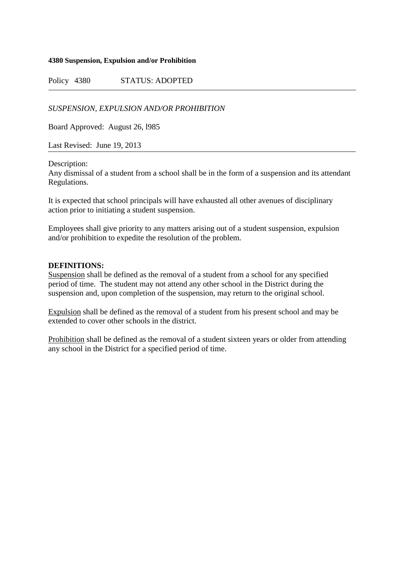## **4380 Suspension, Expulsion and/or Prohibition**

Policy 4380 STATUS: ADOPTED

*SUSPENSION, EXPULSION AND/OR PROHIBITION*

Board Approved: August 26, l985

Last Revised: June 19, 2013

Description:

Any dismissal of a student from a school shall be in the form of a suspension and its attendant Regulations.

It is expected that school principals will have exhausted all other avenues of disciplinary action prior to initiating a student suspension.

Employees shall give priority to any matters arising out of a student suspension, expulsion and/or prohibition to expedite the resolution of the problem.

## **DEFINITIONS:**

Suspension shall be defined as the removal of a student from a school for any specified period of time. The student may not attend any other school in the District during the suspension and, upon completion of the suspension, may return to the original school.

Expulsion shall be defined as the removal of a student from his present school and may be extended to cover other schools in the district.

Prohibition shall be defined as the removal of a student sixteen years or older from attending any school in the District for a specified period of time.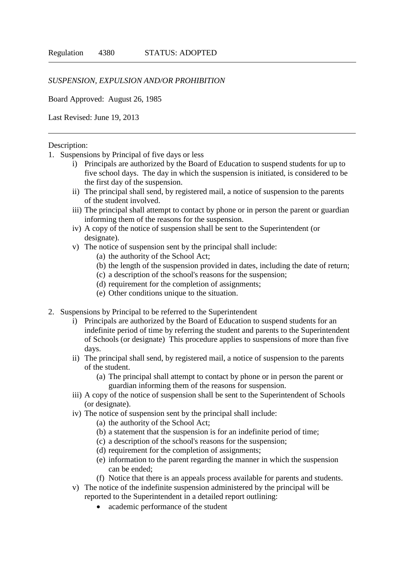## *SUSPENSION, EXPULSION AND/OR PROHIBITION*

Board Approved: August 26, 1985

Last Revised: June 19, 2013

## Description:

- 1. Suspensions by Principal of five days or less
	- i) Principals are authorized by the Board of Education to suspend students for up to five school days. The day in which the suspension is initiated, is considered to be the first day of the suspension.
	- ii) The principal shall send, by registered mail, a notice of suspension to the parents of the student involved.
	- iii) The principal shall attempt to contact by phone or in person the parent or guardian informing them of the reasons for the suspension.
	- iv) A copy of the notice of suspension shall be sent to the Superintendent (or designate).
	- v) The notice of suspension sent by the principal shall include:
		- (a) the authority of the School Act;
		- (b) the length of the suspension provided in dates, including the date of return;
		- (c) a description of the school's reasons for the suspension;
		- (d) requirement for the completion of assignments;
		- (e) Other conditions unique to the situation.
- 2. Suspensions by Principal to be referred to the Superintendent
	- i) Principals are authorized by the Board of Education to suspend students for an indefinite period of time by referring the student and parents to the Superintendent of Schools (or designate) This procedure applies to suspensions of more than five days.
	- ii) The principal shall send, by registered mail, a notice of suspension to the parents of the student.
		- (a) The principal shall attempt to contact by phone or in person the parent or guardian informing them of the reasons for suspension.
	- iii) A copy of the notice of suspension shall be sent to the Superintendent of Schools (or designate).
	- iv) The notice of suspension sent by the principal shall include:
		- (a) the authority of the School Act;
		- (b) a statement that the suspension is for an indefinite period of time;
		- (c) a description of the school's reasons for the suspension;
		- (d) requirement for the completion of assignments;
		- (e) information to the parent regarding the manner in which the suspension can be ended;
		- (f) Notice that there is an appeals process available for parents and students.
	- v) The notice of the indefinite suspension administered by the principal will be reported to the Superintendent in a detailed report outlining:
		- academic performance of the student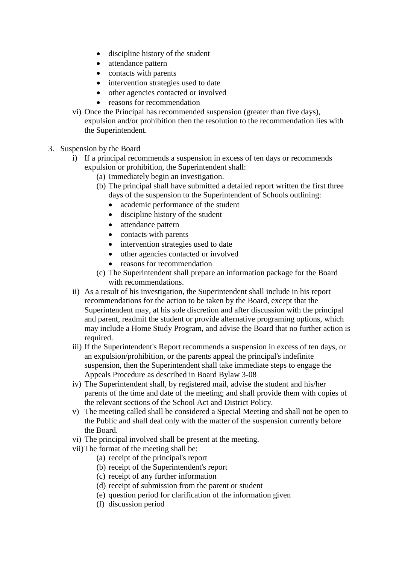- discipline history of the student
- attendance pattern
- contacts with parents
- intervention strategies used to date
- other agencies contacted or involved
- reasons for recommendation
- vi) Once the Principal has recommended suspension (greater than five days), expulsion and/or prohibition then the resolution to the recommendation lies with the Superintendent.
- 3. Suspension by the Board
	- i) If a principal recommends a suspension in excess of ten days or recommends expulsion or prohibition, the Superintendent shall:
		- (a) Immediately begin an investigation.
		- (b) The principal shall have submitted a detailed report written the first three days of the suspension to the Superintendent of Schools outlining:
			- academic performance of the student
			- discipline history of the student
			- attendance pattern
			- contacts with parents
			- intervention strategies used to date
			- other agencies contacted or involved
			- reasons for recommendation
		- (c) The Superintendent shall prepare an information package for the Board with recommendations.
	- ii) As a result of his investigation, the Superintendent shall include in his report recommendations for the action to be taken by the Board, except that the Superintendent may, at his sole discretion and after discussion with the principal and parent, readmit the student or provide alternative programing options, which may include a Home Study Program, and advise the Board that no further action is required.
	- iii) If the Superintendent's Report recommends a suspension in excess of ten days, or an expulsion/prohibition, or the parents appeal the principal's indefinite suspension, then the Superintendent shall take immediate steps to engage the Appeals Procedure as described in Board Bylaw 3-08
	- iv) The Superintendent shall, by registered mail, advise the student and his/her parents of the time and date of the meeting; and shall provide them with copies of the relevant sections of the School Act and District Policy.
	- v) The meeting called shall be considered a Special Meeting and shall not be open to the Public and shall deal only with the matter of the suspension currently before the Board.
	- vi) The principal involved shall be present at the meeting.
	- vii)The format of the meeting shall be:
		- (a) receipt of the principal's report
		- (b) receipt of the Superintendent's report
		- (c) receipt of any further information
		- (d) receipt of submission from the parent or student
		- (e) question period for clarification of the information given
		- (f) discussion period